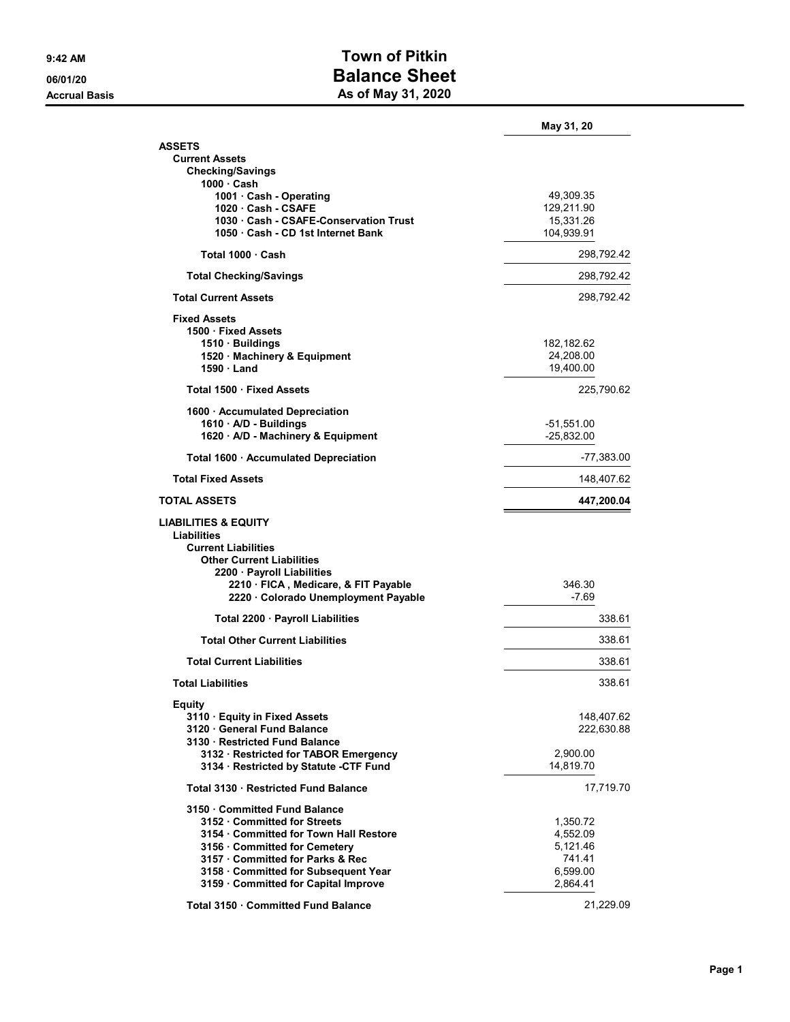## 9:42 AM **Town of Pitkin** 06/01/20 **Balance Sheet** Accrual Basis **Accrual Basis** As of May 31, 2020

|                                        | May 31, 20   |
|----------------------------------------|--------------|
| <b>ASSETS</b>                          |              |
| <b>Current Assets</b>                  |              |
| Checking/Savings<br>1000 · Cash        |              |
| 1001 · Cash - Operating                | 49,309.35    |
| 1020 Cash - CSAFE                      | 129,211.90   |
| 1030 Cash - CSAFE-Conservation Trust   | 15,331.26    |
| 1050 Cash - CD 1st Internet Bank       | 104,939.91   |
| Total 1000 Cash                        | 298,792.42   |
| <b>Total Checking/Savings</b>          | 298,792.42   |
| <b>Total Current Assets</b>            | 298,792.42   |
| <b>Fixed Assets</b>                    |              |
| 1500 · Fixed Assets                    |              |
| 1510 · Buildings                       | 182,182.62   |
| 1520 · Machinery & Equipment           | 24,208.00    |
| 1590 Land                              | 19,400.00    |
| Total 1500 · Fixed Assets              | 225,790.62   |
| 1600 · Accumulated Depreciation        |              |
| 1610 A/D - Buildings                   | $-51,551.00$ |
| 1620 · A/D - Machinery & Equipment     | $-25,832.00$ |
| Total 1600 · Accumulated Depreciation  | -77,383.00   |
| <b>Total Fixed Assets</b>              | 148,407.62   |
| TOTAL ASSETS                           | 447,200.04   |
| <b>LIABILITIES &amp; EQUITY</b>        |              |
| Liabilities                            |              |
| <b>Current Liabilities</b>             |              |
| <b>Other Current Liabilities</b>       |              |
| 2200 · Payroll Liabilities             |              |
| 2210 · FICA, Medicare, & FIT Payable   | 346.30       |
| 2220 · Colorado Unemployment Payable   | $-7.69$      |
| Total 2200 · Payroll Liabilities       | 338.61       |
| <b>Total Other Current Liabilities</b> | 338.61       |
| <b>Total Current Liabilities</b>       | 338.61       |
| <b>Total Liabilities</b>               | 338.61       |
| Equity                                 |              |
| 3110 Equity in Fixed Assets            | 148,407.62   |
| 3120 General Fund Balance              | 222,630.88   |
| 3130 Restricted Fund Balance           |              |
| 3132 · Restricted for TABOR Emergency  | 2,900.00     |
| 3134 · Restricted by Statute -CTF Fund | 14,819.70    |
| Total 3130 Restricted Fund Balance     | 17,719.70    |
| 3150 Committed Fund Balance            |              |
| 3152 Committed for Streets             | 1,350.72     |
| 3154 Committed for Town Hall Restore   | 4,552.09     |
| 3156 · Committed for Cemetery          | 5,121.46     |
| 3157 Committed for Parks & Rec         | 741.41       |
| 3158 Committed for Subsequent Year     | 6,599.00     |
| 3159 Committed for Capital Improve     | 2,864.41     |
| Total 3150 · Committed Fund Balance    | 21,229.09    |